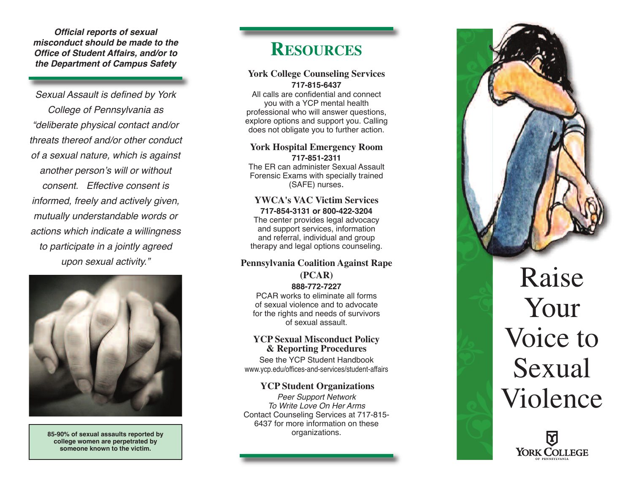**Official reports of sexual** misconduct should be made to the **Office of Student Affairs, and/or to** the Department of Campus Safety

Sexual Assault is defined by York College of Pennsylvania as "deliberate physical contact and/or threats thereof and/or other conduct of a sexual nature, which is against another person's will or without consent. Effective consent is informed, freely and actively given, mutually understandable words or actions which indicate a willingness to participate in a jointly agreed upon sexual activity."



85-90% of sexual assaults reported by college women are perpetrated by someone known to the victim.

## RESOURCES

#### **York College Counseling Services 7 1 7 - 8 1 5 - 6 4 3 7**

All calls are confidential and connect you with a YCP mental health professional who will answer questions, explore options and support you. Calling does not obligate you to further action.

### York Hospital Emergency Room **7 1 7 - 8 5 1 - 2 3 1 1**

The ER can administer Sexual Assault Forensic Exams with specially trained (SAFE) nurses.

### YWCA's VAC Victim Services 717-854-3131 or 800-422-3204

The center provides legal advocacy and support services, information and referral, individual and group therapy and legal options counseling.

### **Pennsylvania Coalition Against Rape ( P C A R ) 8 8 8 - 7 7 2 - 7 2 2 7**

PCAR works to eliminate all forms of sexual violence and to advocate for the rights and needs of survivors of sexual assault.

### **YCP Sexual Misconduct Policy** & Reporting Procedures

See the YCP Student Handbook www.ycp.edu/offices-and-services/student-affairs

### YCP Student Organizations

Peer Support Network To Write Love On Her Arms Contact Counseling Services at 717-815-6437 for more information on these organizations.



# Raise Your Voice to Sexual Violence